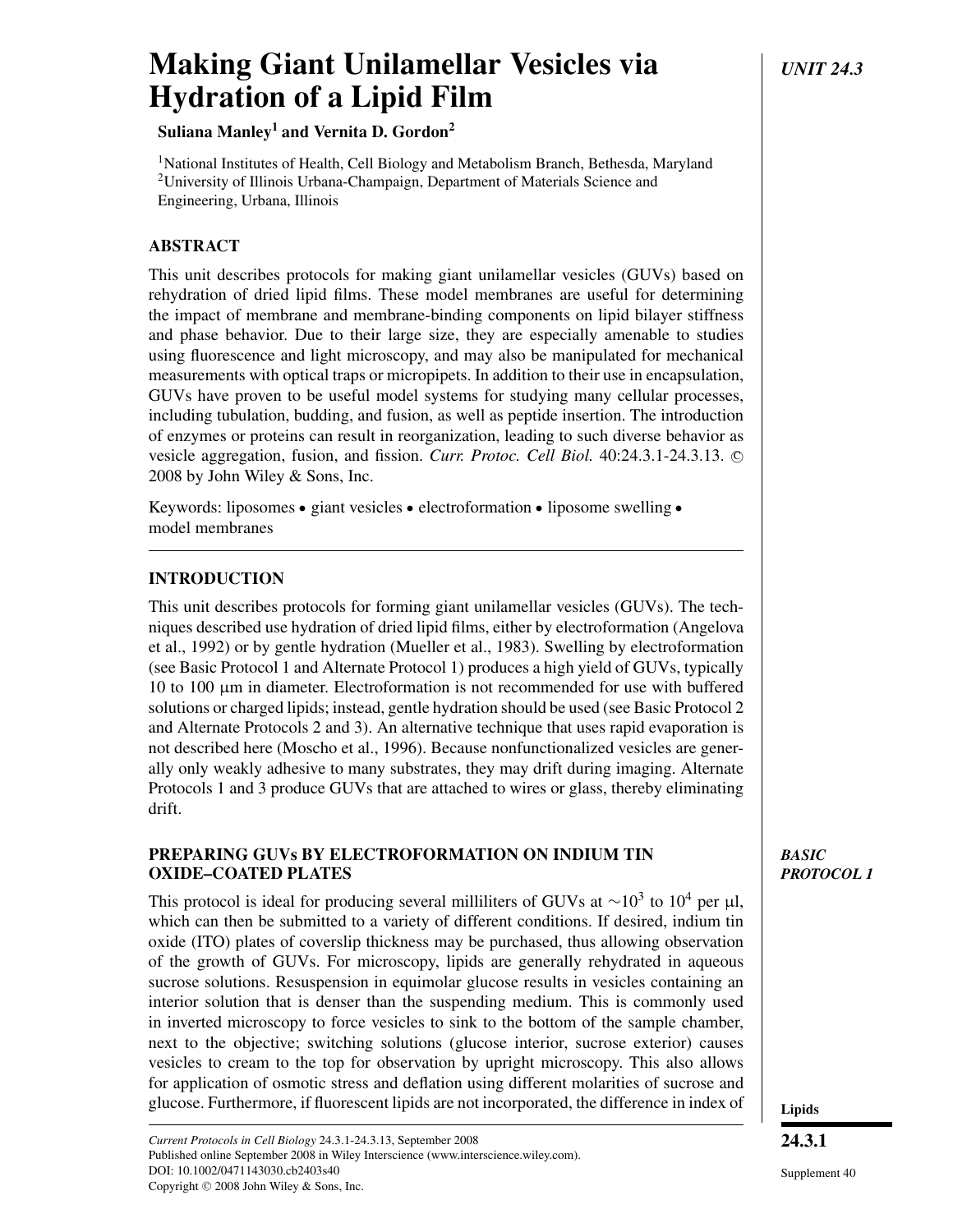# **Making Giant Unilamellar Vesicles via** | UNIT 24.3 **Hydration of a Lipid Film**

**Suliana Manley<sup>1</sup> and Vernita D. Gordon2**

<sup>1</sup>National Institutes of Health, Cell Biology and Metabolism Branch, Bethesda, Maryland 2University of Illinois Urbana-Champaign, Department of Materials Science and Engineering, Urbana, Illinois

### **ABSTRACT**

This unit describes protocols for making giant unilamellar vesicles (GUVs) based on rehydration of dried lipid films. These model membranes are useful for determining the impact of membrane and membrane-binding components on lipid bilayer stiffness and phase behavior. Due to their large size, they are especially amenable to studies using fluorescence and light microscopy, and may also be manipulated for mechanical measurements with optical traps or micropipets. In addition to their use in encapsulation, GUVs have proven to be useful model systems for studying many cellular processes, including tubulation, budding, and fusion, as well as peptide insertion. The introduction of enzymes or proteins can result in reorganization, leading to such diverse behavior as vesicle aggregation, fusion, and fission. Curr. Protoc. Cell Biol. 40:24.3.1-24.3.13. © 2008 by John Wiley & Sons, Inc.

Keywords: liposomes • giant vesicles • electroformation • liposome swelling • model membranes

### **INTRODUCTION**

This unit describes protocols for forming giant unilamellar vesicles (GUVs). The techniques described use hydration of dried lipid films, either by electroformation (Angelova et al., 1992) or by gentle hydration (Mueller et al., 1983). Swelling by electroformation (see Basic Protocol 1 and Alternate Protocol 1) produces a high yield of GUVs, typically 10 to 100 μm in diameter. Electroformation is not recommended for use with buffered solutions or charged lipids; instead, gentle hydration should be used (see Basic Protocol 2 and Alternate Protocols 2 and 3). An alternative technique that uses rapid evaporation is not described here (Moscho et al., 1996). Because nonfunctionalized vesicles are generally only weakly adhesive to many substrates, they may drift during imaging. Alternate Protocols 1 and 3 produce GUVs that are attached to wires or glass, thereby eliminating drift.

### **PREPARING GUVs BY ELECTROFORMATION ON INDIUM TIN OXIDE–COATED PLATES**

This protocol is ideal for producing several milliliters of GUVs at  $\sim 10^3$  to  $10^4$  per  $\mu$ l, which can then be submitted to a variety of different conditions. If desired, indium tin oxide (ITO) plates of coverslip thickness may be purchased, thus allowing observation of the growth of GUVs. For microscopy, lipids are generally rehydrated in aqueous sucrose solutions. Resuspension in equimolar glucose results in vesicles containing an interior solution that is denser than the suspending medium. This is commonly used in inverted microscopy to force vesicles to sink to the bottom of the sample chamber, next to the objective; switching solutions (glucose interior, sucrose exterior) causes vesicles to cream to the top for observation by upright microscopy. This also allows for application of osmotic stress and deflation using different molarities of sucrose and glucose. Furthermore, if fluorescent lipids are not incorporated, the difference in index of

*BASIC PROTOCOL 1*

**Lipids**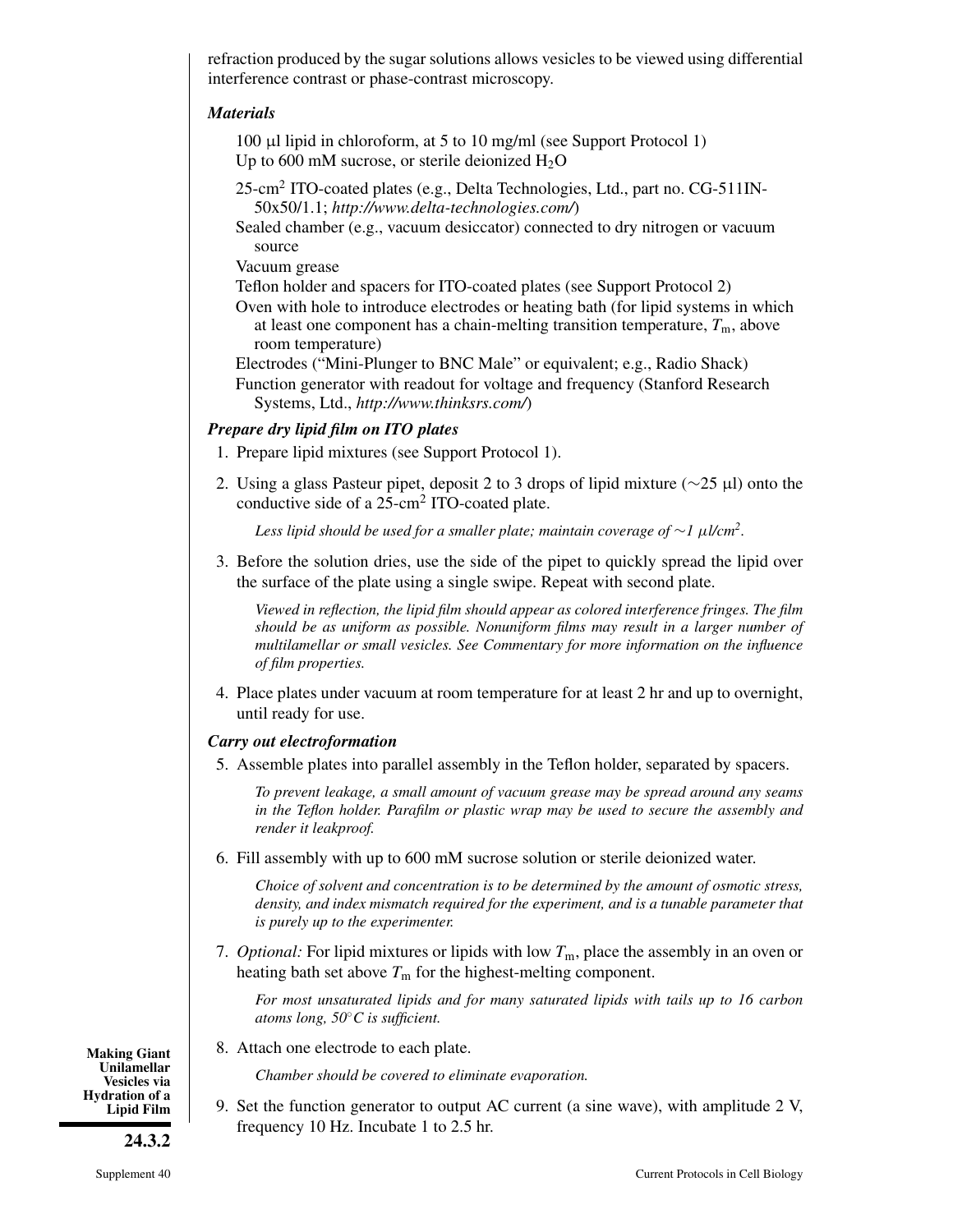refraction produced by the sugar solutions allows vesicles to be viewed using differential interference contrast or phase-contrast microscopy.

#### *Materials*

100 μl lipid in chloroform, at 5 to 10 mg/ml (see Support Protocol 1) Up to 600 mM sucrose, or sterile deionized  $H_2O$ 

- 25-cm2 ITO-coated plates (e.g., Delta Technologies, Ltd., part no. CG-511IN-50x50/1.1; *http://www.delta-technologies.com/*)
- Sealed chamber (e.g., vacuum desiccator) connected to dry nitrogen or vacuum source

Vacuum grease

Teflon holder and spacers for ITO-coated plates (see Support Protocol 2)

Oven with hole to introduce electrodes or heating bath (for lipid systems in which at least one component has a chain-melting transition temperature,  $T<sub>m</sub>$ , above room temperature)

Electrodes ("Mini-Plunger to BNC Male" or equivalent; e.g., Radio Shack) Function generator with readout for voltage and frequency (Stanford Research Systems, Ltd., *http://www.thinksrs.com/*)

#### *Prepare dry lipid film on ITO plates*

- 1. Prepare lipid mixtures (see Support Protocol 1).
- 2. Using a glass Pasteur pipet, deposit 2 to 3 drops of lipid mixture (∼25 μl) onto the conductive side of a 25-cm<sup>2</sup> ITO-coated plate.

*Less lipid should be used for a smaller plate; maintain coverage of* <sup>∼</sup>*<sup>1</sup>* <sup>μ</sup>*l/cm2.*

3. Before the solution dries, use the side of the pipet to quickly spread the lipid over the surface of the plate using a single swipe. Repeat with second plate.

*Viewed in reflection, the lipid film should appear as colored interference fringes. The film should be as uniform as possible. Nonuniform films may result in a larger number of multilamellar or small vesicles. See Commentary for more information on the influence of film properties.*

4. Place plates under vacuum at room temperature for at least 2 hr and up to overnight, until ready for use.

#### *Carry out electroformation*

5. Assemble plates into parallel assembly in the Teflon holder, separated by spacers.

*To prevent leakage, a small amount of vacuum grease may be spread around any seams in the Teflon holder. Parafilm or plastic wrap may be used to secure the assembly and render it leakproof.*

6. Fill assembly with up to 600 mM sucrose solution or sterile deionized water.

*Choice of solvent and concentration is to be determined by the amount of osmotic stress, density, and index mismatch required for the experiment, and is a tunable parameter that is purely up to the experimenter.*

7. *Optional:* For lipid mixtures or lipids with low *T*m, place the assembly in an oven or heating bath set above  $T<sub>m</sub>$  for the highest-melting component.

*For most unsaturated lipids and for many saturated lipids with tails up to 16 carbon atoms long, 50*◦*C is sufficient.*

8. Attach one electrode to each plate.

*Chamber should be covered to eliminate evaporation.*

9. Set the function generator to output AC current (a sine wave), with amplitude 2 V, frequency 10 Hz. Incubate 1 to 2.5 hr.

**Making Giant Unilamellar Vesicles via Hydration of a Lipid Film**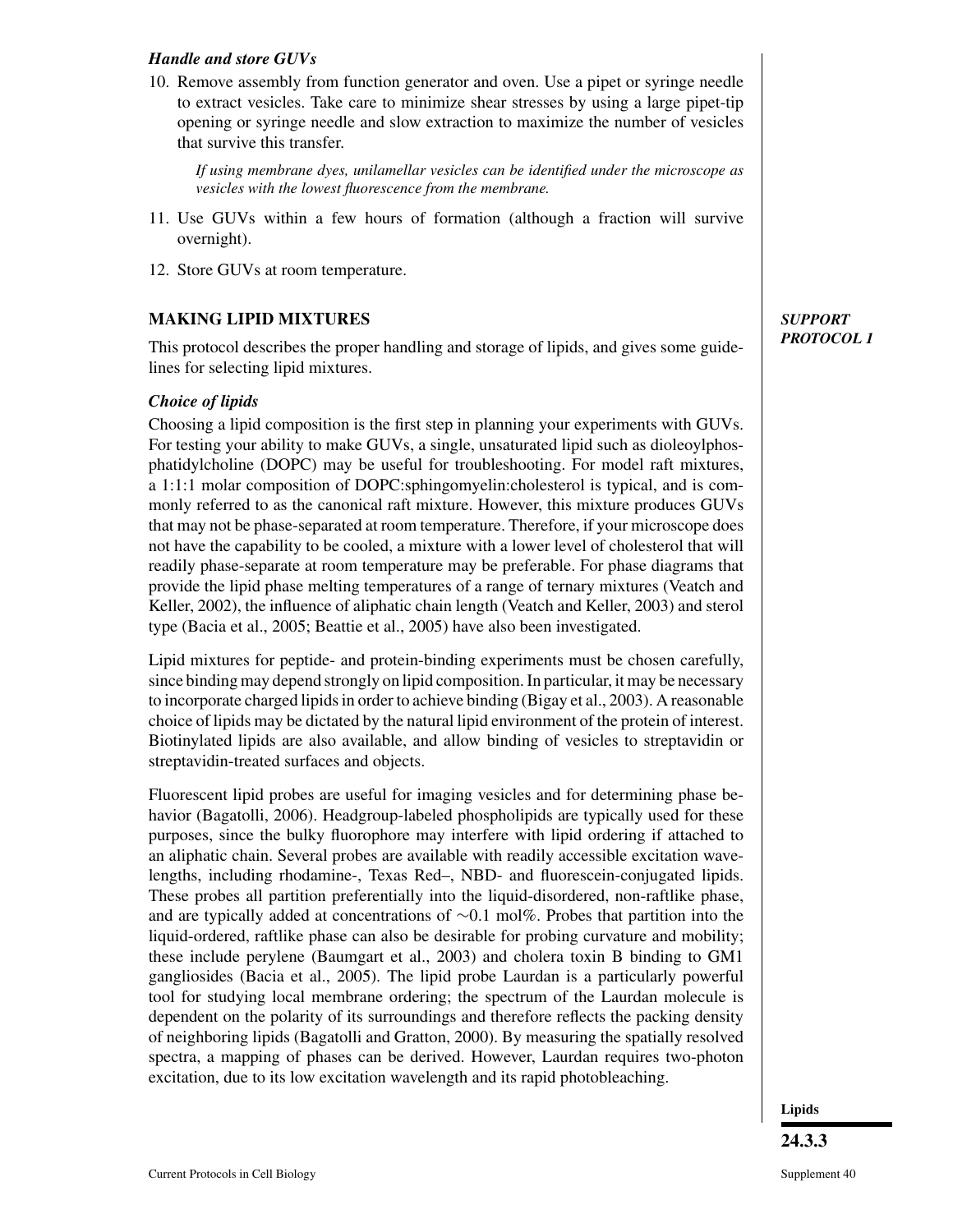#### *Handle and store GUVs*

10. Remove assembly from function generator and oven. Use a pipet or syringe needle to extract vesicles. Take care to minimize shear stresses by using a large pipet-tip opening or syringe needle and slow extraction to maximize the number of vesicles that survive this transfer.

*If using membrane dyes, unilamellar vesicles can be identified under the microscope as vesicles with the lowest fluorescence from the membrane.*

- 11. Use GUVs within a few hours of formation (although a fraction will survive overnight).
- 12. Store GUVs at room temperature.

### **MAKING LIPID MIXTURES**

This protocol describes the proper handling and storage of lipids, and gives some guidelines for selecting lipid mixtures.

#### *Choice of lipids*

Choosing a lipid composition is the first step in planning your experiments with GUVs. For testing your ability to make GUVs, a single, unsaturated lipid such as dioleoylphosphatidylcholine (DOPC) may be useful for troubleshooting. For model raft mixtures, a 1:1:1 molar composition of DOPC:sphingomyelin:cholesterol is typical, and is commonly referred to as the canonical raft mixture. However, this mixture produces GUVs that may not be phase-separated at room temperature. Therefore, if your microscope does not have the capability to be cooled, a mixture with a lower level of cholesterol that will readily phase-separate at room temperature may be preferable. For phase diagrams that provide the lipid phase melting temperatures of a range of ternary mixtures (Veatch and Keller, 2002), the influence of aliphatic chain length (Veatch and Keller, 2003) and sterol type (Bacia et al., 2005; Beattie et al., 2005) have also been investigated.

Lipid mixtures for peptide- and protein-binding experiments must be chosen carefully, since binding may depend strongly on lipid composition. In particular, it may be necessary to incorporate charged lipids in order to achieve binding (Bigay et al., 2003). A reasonable choice of lipids may be dictated by the natural lipid environment of the protein of interest. Biotinylated lipids are also available, and allow binding of vesicles to streptavidin or streptavidin-treated surfaces and objects.

Fluorescent lipid probes are useful for imaging vesicles and for determining phase behavior (Bagatolli, 2006). Headgroup-labeled phospholipids are typically used for these purposes, since the bulky fluorophore may interfere with lipid ordering if attached to an aliphatic chain. Several probes are available with readily accessible excitation wavelengths, including rhodamine-, Texas Red–, NBD- and fluorescein-conjugated lipids. These probes all partition preferentially into the liquid-disordered, non-raftlike phase, and are typically added at concentrations of ∼0.1 mol%. Probes that partition into the liquid-ordered, raftlike phase can also be desirable for probing curvature and mobility; these include perylene (Baumgart et al., 2003) and cholera toxin B binding to GM1 gangliosides (Bacia et al., 2005). The lipid probe Laurdan is a particularly powerful tool for studying local membrane ordering; the spectrum of the Laurdan molecule is dependent on the polarity of its surroundings and therefore reflects the packing density of neighboring lipids (Bagatolli and Gratton, 2000). By measuring the spatially resolved spectra, a mapping of phases can be derived. However, Laurdan requires two-photon excitation, due to its low excitation wavelength and its rapid photobleaching.

#### *SUPPORT PROTOCOL 1*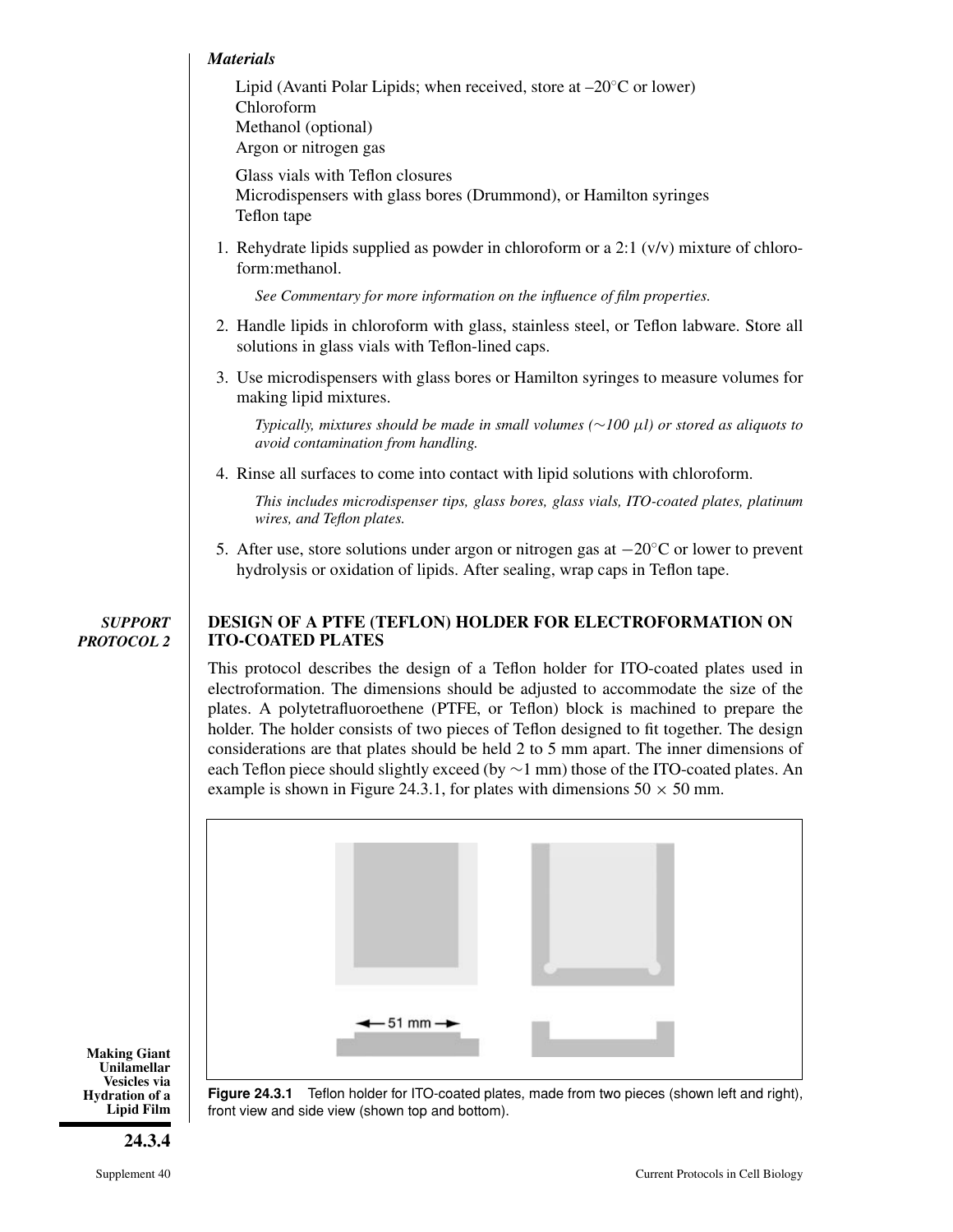#### *Materials*

|  | Lipid (Avanti Polar Lipids; when received, store at $-20^{\circ}$ C or lower)<br>Chloroform<br>Methanol (optional)<br>Argon or nitrogen gas                                     |
|--|---------------------------------------------------------------------------------------------------------------------------------------------------------------------------------|
|  | Glass vials with Teflon closures<br>Microdispensers with glass bores (Drummond), or Hamilton syringes<br>Teflon tape                                                            |
|  | 1. Rehydrate lipids supplied as powder in chloroform or a 2:1 $(v/v)$ mixture of chloro-<br>form:methanol.                                                                      |
|  | See Commentary for more information on the influence of film properties.                                                                                                        |
|  | 2. Handle lipids in chloroform with glass, stainless steel, or Teflon labware. Store all<br>solutions in glass vials with Teflon-lined caps.                                    |
|  | 3. Use microdispensers with glass bores or Hamilton syringes to measure volumes for<br>making lipid mixtures.                                                                   |
|  | Typically, mixtures should be made in small volumes ( $\sim$ 100 $\mu$ l) or stored as aliquots to<br>avoid contamination from handling.                                        |
|  | 4. Rinse all surfaces to come into contact with lipid solutions with chloroform.                                                                                                |
|  | This includes microdispenser tips, glass bores, glass vials, ITO-coated plates, platinum<br>wires, and Teflon plates.                                                           |
|  | 5. After use, store solutions under argon or nitrogen gas at $-20^{\circ}$ C or lower to prevent<br>hydrolysis or oxidation of lipids. After sealing, wrap caps in Teflon tape. |
|  | DESIGN OF A PTFE (TEFLON) HOLDER FOR ELECTROFORMATION ON                                                                                                                        |

*SUPPORT PROTOCOL 2*

### **DESIGN OF A PTFE (TEFLON) HOLDER FOR ELECTROFORMATION ON ITO-COATED PLATES**

This protocol describes the design of a Teflon holder for ITO-coated plates used in electroformation. The dimensions should be adjusted to accommodate the size of the plates. A polytetrafluoroethene (PTFE, or Teflon) block is machined to prepare the holder. The holder consists of two pieces of Teflon designed to fit together. The design considerations are that plates should be held 2 to 5 mm apart. The inner dimensions of each Teflon piece should slightly exceed (by ∼1 mm) those of the ITO-coated plates. An example is shown in Figure 24.3.1, for plates with dimensions  $50 \times 50$  mm.



**Making Giant Unilamellar Vesicles via Hydration of a Lipid Film**

**Figure 24.3.1** Teflon holder for ITO-coated plates, made from two pieces (shown left and right), front view and side view (shown top and bottom).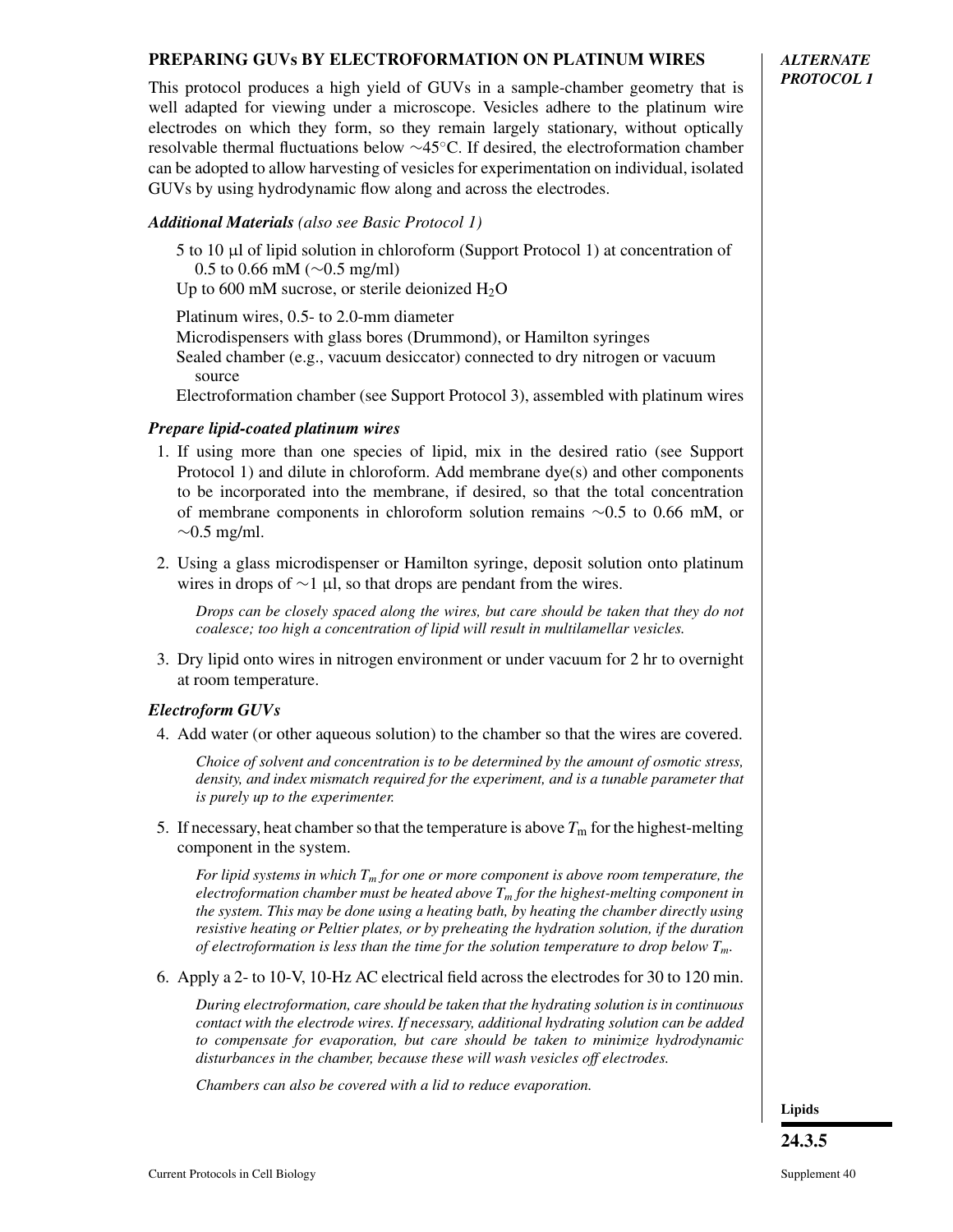### **PREPARING GUVs BY ELECTROFORMATION ON PLATINUM WIRES**

This protocol produces a high yield of GUVs in a sample-chamber geometry that is well adapted for viewing under a microscope. Vesicles adhere to the platinum wire electrodes on which they form, so they remain largely stationary, without optically resolvable thermal fluctuations below ∼45◦C. If desired, the electroformation chamber can be adopted to allow harvesting of vesicles for experimentation on individual, isolated GUVs by using hydrodynamic flow along and across the electrodes.

### *Additional Materials (also see Basic Protocol 1)*

5 to 10 μl of lipid solution in chloroform (Support Protocol 1) at concentration of 0.5 to 0.66 mM (∼0.5 mg/ml)

Up to 600 mM sucrose, or sterile deionized  $H_2O$ 

Platinum wires, 0.5- to 2.0-mm diameter

Microdispensers with glass bores (Drummond), or Hamilton syringes

Sealed chamber (e.g., vacuum desiccator) connected to dry nitrogen or vacuum source

Electroformation chamber (see Support Protocol 3), assembled with platinum wires

#### *Prepare lipid-coated platinum wires*

- 1. If using more than one species of lipid, mix in the desired ratio (see Support Protocol 1) and dilute in chloroform. Add membrane  $\text{dye}(s)$  and other components to be incorporated into the membrane, if desired, so that the total concentration of membrane components in chloroform solution remains ∼0.5 to 0.66 mM, or  $\sim 0.5$  mg/ml.
- 2. Using a glass microdispenser or Hamilton syringe, deposit solution onto platinum wires in drops of  $\sim$ 1 μl, so that drops are pendant from the wires.

*Drops can be closely spaced along the wires, but care should be taken that they do not coalesce; too high a concentration of lipid will result in multilamellar vesicles.*

3. Dry lipid onto wires in nitrogen environment or under vacuum for 2 hr to overnight at room temperature.

### *Electroform GUVs*

4. Add water (or other aqueous solution) to the chamber so that the wires are covered.

*Choice of solvent and concentration is to be determined by the amount of osmotic stress, density, and index mismatch required for the experiment, and is a tunable parameter that is purely up to the experimenter.*

5. If necessary, heat chamber so that the temperature is above  $T_m$  for the highest-melting component in the system.

*For lipid systems in which Tm for one or more component is above room temperature, the electroformation chamber must be heated above Tm for the highest-melting component in the system. This may be done using a heating bath, by heating the chamber directly using resistive heating or Peltier plates, or by preheating the hydration solution, if the duration of electroformation is less than the time for the solution temperature to drop below Tm.*

6. Apply a 2- to 10-V, 10-Hz AC electrical field across the electrodes for 30 to 120 min.

*During electroformation, care should be taken that the hydrating solution is in continuous contact with the electrode wires. If necessary, additional hydrating solution can be added to compensate for evaporation, but care should be taken to minimize hydrodynamic disturbances in the chamber, because these will wash vesicles off electrodes.*

*Chambers can also be covered with a lid to reduce evaporation.*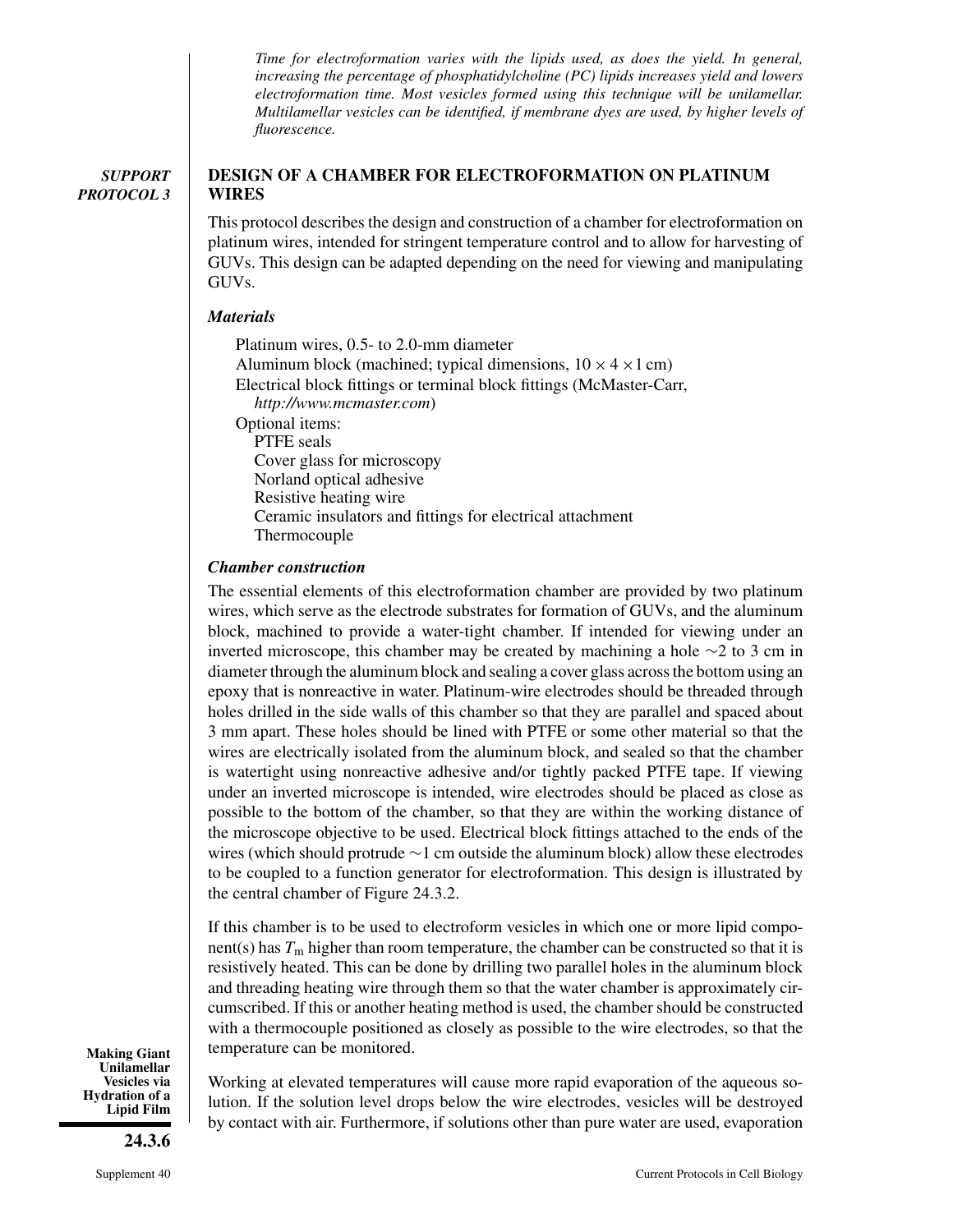*Time for electroformation varies with the lipids used, as does the yield. In general, increasing the percentage of phosphatidylcholine (PC) lipids increases yield and lowers electroformation time. Most vesicles formed using this technique will be unilamellar. Multilamellar vesicles can be identified, if membrane dyes are used, by higher levels of fluorescence.*

#### *SUPPORT PROTOCOL 3*

### **DESIGN OF A CHAMBER FOR ELECTROFORMATION ON PLATINUM WIRES**

This protocol describes the design and construction of a chamber for electroformation on platinum wires, intended for stringent temperature control and to allow for harvesting of GUVs. This design can be adapted depending on the need for viewing and manipulating GUVs.

### *Materials*

Platinum wires, 0.5- to 2.0-mm diameter Aluminum block (machined; typical dimensions,  $10 \times 4 \times 1$  cm) Electrical block fittings or terminal block fittings (McMaster-Carr, *http://www.mcmaster.com*) Optional items: PTFE seals Cover glass for microscopy Norland optical adhesive Resistive heating wire Ceramic insulators and fittings for electrical attachment Thermocouple

### *Chamber construction*

The essential elements of this electroformation chamber are provided by two platinum wires, which serve as the electrode substrates for formation of GUVs, and the aluminum block, machined to provide a water-tight chamber. If intended for viewing under an inverted microscope, this chamber may be created by machining a hole ∼2 to 3 cm in diameter through the aluminum block and sealing a cover glass across the bottom using an epoxy that is nonreactive in water. Platinum-wire electrodes should be threaded through holes drilled in the side walls of this chamber so that they are parallel and spaced about 3 mm apart. These holes should be lined with PTFE or some other material so that the wires are electrically isolated from the aluminum block, and sealed so that the chamber is watertight using nonreactive adhesive and/or tightly packed PTFE tape. If viewing under an inverted microscope is intended, wire electrodes should be placed as close as possible to the bottom of the chamber, so that they are within the working distance of the microscope objective to be used. Electrical block fittings attached to the ends of the wires (which should protrude ∼1 cm outside the aluminum block) allow these electrodes to be coupled to a function generator for electroformation. This design is illustrated by the central chamber of Figure 24.3.2.

If this chamber is to be used to electroform vesicles in which one or more lipid component(s) has  $T_m$  higher than room temperature, the chamber can be constructed so that it is resistively heated. This can be done by drilling two parallel holes in the aluminum block and threading heating wire through them so that the water chamber is approximately circumscribed. If this or another heating method is used, the chamber should be constructed with a thermocouple positioned as closely as possible to the wire electrodes, so that the temperature can be monitored.

**Making Giant Unilamellar Vesicles via Hydration of a Lipid Film**

**24.3.6**

Working at elevated temperatures will cause more rapid evaporation of the aqueous solution. If the solution level drops below the wire electrodes, vesicles will be destroyed by contact with air. Furthermore, if solutions other than pure water are used, evaporation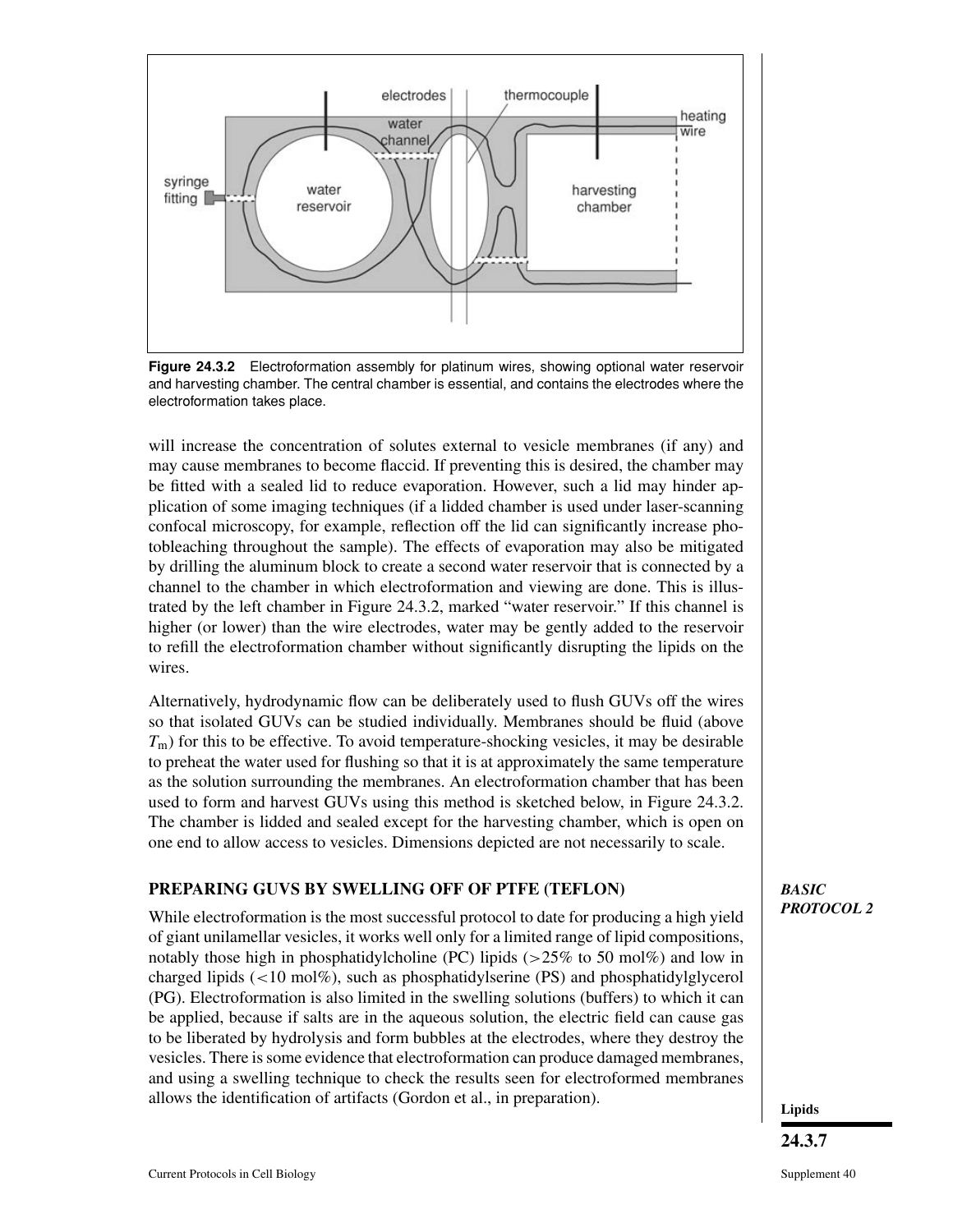

**Figure 24.3.2** Electroformation assembly for platinum wires, showing optional water reservoir and harvesting chamber. The central chamber is essential, and contains the electrodes where the electroformation takes place.

will increase the concentration of solutes external to vesicle membranes (if any) and may cause membranes to become flaccid. If preventing this is desired, the chamber may be fitted with a sealed lid to reduce evaporation. However, such a lid may hinder application of some imaging techniques (if a lidded chamber is used under laser-scanning confocal microscopy, for example, reflection off the lid can significantly increase photobleaching throughout the sample). The effects of evaporation may also be mitigated by drilling the aluminum block to create a second water reservoir that is connected by a channel to the chamber in which electroformation and viewing are done. This is illustrated by the left chamber in Figure 24.3.2, marked "water reservoir." If this channel is higher (or lower) than the wire electrodes, water may be gently added to the reservoir to refill the electroformation chamber without significantly disrupting the lipids on the wires.

Alternatively, hydrodynamic flow can be deliberately used to flush GUVs off the wires so that isolated GUVs can be studied individually. Membranes should be fluid (above *T*m) for this to be effective. To avoid temperature-shocking vesicles, it may be desirable to preheat the water used for flushing so that it is at approximately the same temperature as the solution surrounding the membranes. An electroformation chamber that has been used to form and harvest GUVs using this method is sketched below, in Figure 24.3.2. The chamber is lidded and sealed except for the harvesting chamber, which is open on one end to allow access to vesicles. Dimensions depicted are not necessarily to scale.

### **PREPARING GUVS BY SWELLING OFF OF PTFE (TEFLON)**

While electroformation is the most successful protocol to date for producing a high yield of giant unilamellar vesicles, it works well only for a limited range of lipid compositions, notably those high in phosphatidylcholine (PC) lipids ( $>25\%$  to 50 mol%) and low in charged lipids  $\left( \langle 2|0 \rangle \right)$  such as phosphatidylserine (PS) and phosphatidylglycerol (PG). Electroformation is also limited in the swelling solutions (buffers) to which it can be applied, because if salts are in the aqueous solution, the electric field can cause gas to be liberated by hydrolysis and form bubbles at the electrodes, where they destroy the vesicles. There is some evidence that electroformation can produce damaged membranes, and using a swelling technique to check the results seen for electroformed membranes allows the identification of artifacts (Gordon et al., in preparation).

### *BASIC PROTOCOL 2*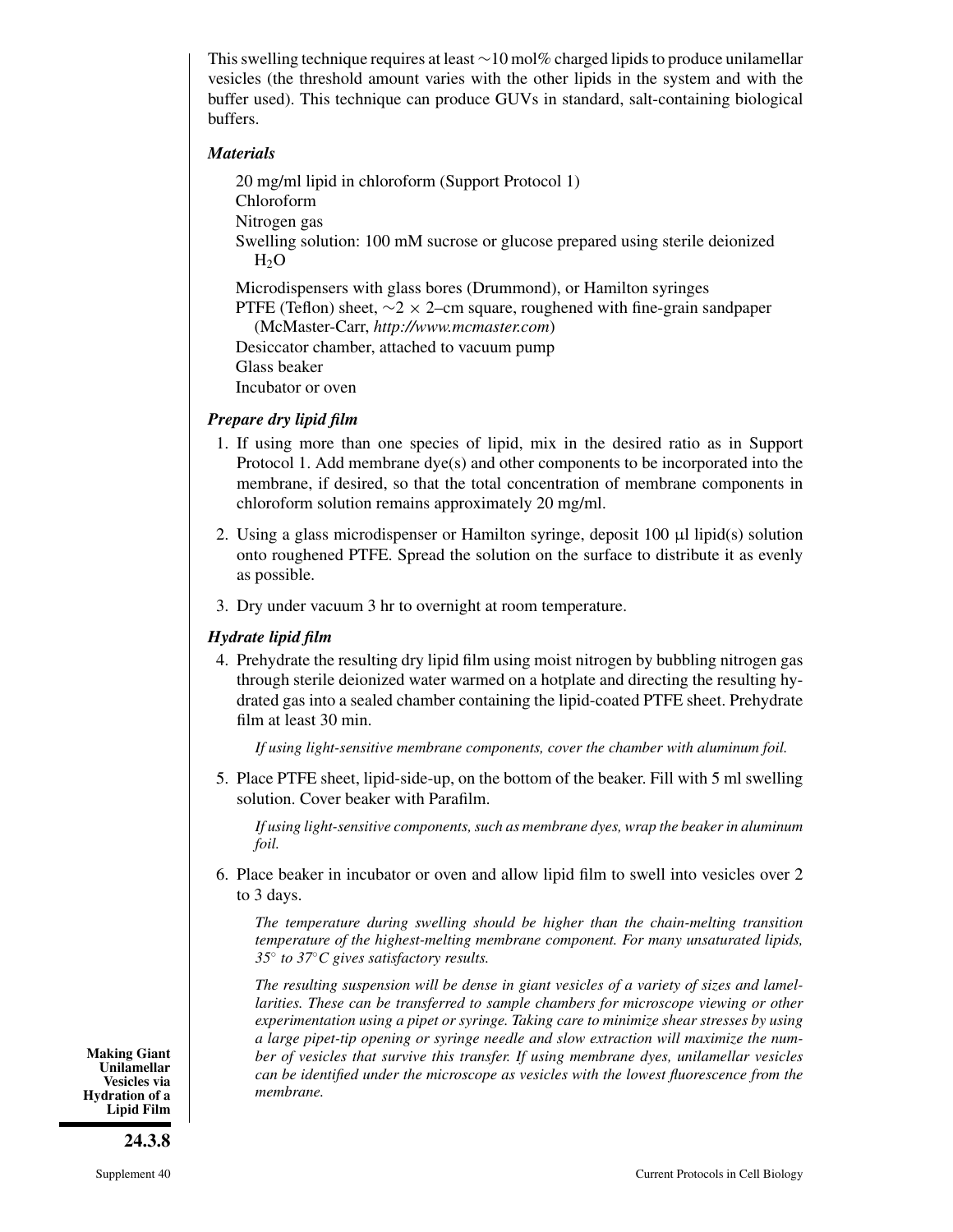This swelling technique requires at least ∼10 mol% charged lipids to produce unilamellar vesicles (the threshold amount varies with the other lipids in the system and with the buffer used). This technique can produce GUVs in standard, salt-containing biological buffers.

#### *Materials*

20 mg/ml lipid in chloroform (Support Protocol 1) Chloroform Nitrogen gas Swelling solution: 100 mM sucrose or glucose prepared using sterile deionized  $H_2O$ Microdispensers with glass bores (Drummond), or Hamilton syringes PTFE (Teflon) sheet,  $\sim$ 2 × 2–cm square, roughened with fine-grain sandpaper

(McMaster-Carr, *http://www.mcmaster.com*) Desiccator chamber, attached to vacuum pump

Glass beaker

Incubator or oven

### *Prepare dry lipid film*

- 1. If using more than one species of lipid, mix in the desired ratio as in Support Protocol 1. Add membrane dye(s) and other components to be incorporated into the membrane, if desired, so that the total concentration of membrane components in chloroform solution remains approximately 20 mg/ml.
- 2. Using a glass microdispenser or Hamilton syringe, deposit 100 μl lipid(s) solution onto roughened PTFE. Spread the solution on the surface to distribute it as evenly as possible.
- 3. Dry under vacuum 3 hr to overnight at room temperature.

### *Hydrate lipid film*

4. Prehydrate the resulting dry lipid film using moist nitrogen by bubbling nitrogen gas through sterile deionized water warmed on a hotplate and directing the resulting hydrated gas into a sealed chamber containing the lipid-coated PTFE sheet. Prehydrate film at least 30 min.

*If using light-sensitive membrane components, cover the chamber with aluminum foil.*

5. Place PTFE sheet, lipid-side-up, on the bottom of the beaker. Fill with 5 ml swelling solution. Cover beaker with Parafilm.

*If using light-sensitive components, such as membrane dyes, wrap the beaker in aluminum foil.*

6. Place beaker in incubator or oven and allow lipid film to swell into vesicles over 2 to 3 days.

*The temperature during swelling should be higher than the chain-melting transition temperature of the highest-melting membrane component. For many unsaturated lipids, 35*◦ *to 37*◦*C gives satisfactory results.*

*The resulting suspension will be dense in giant vesicles of a variety of sizes and lamellarities. These can be transferred to sample chambers for microscope viewing or other experimentation using a pipet or syringe. Taking care to minimize shear stresses by using a large pipet-tip opening or syringe needle and slow extraction will maximize the number of vesicles that survive this transfer. If using membrane dyes, unilamellar vesicles can be identified under the microscope as vesicles with the lowest fluorescence from the membrane.*

**Making Giant Unilamellar Vesicles via Hydration of a Lipid Film**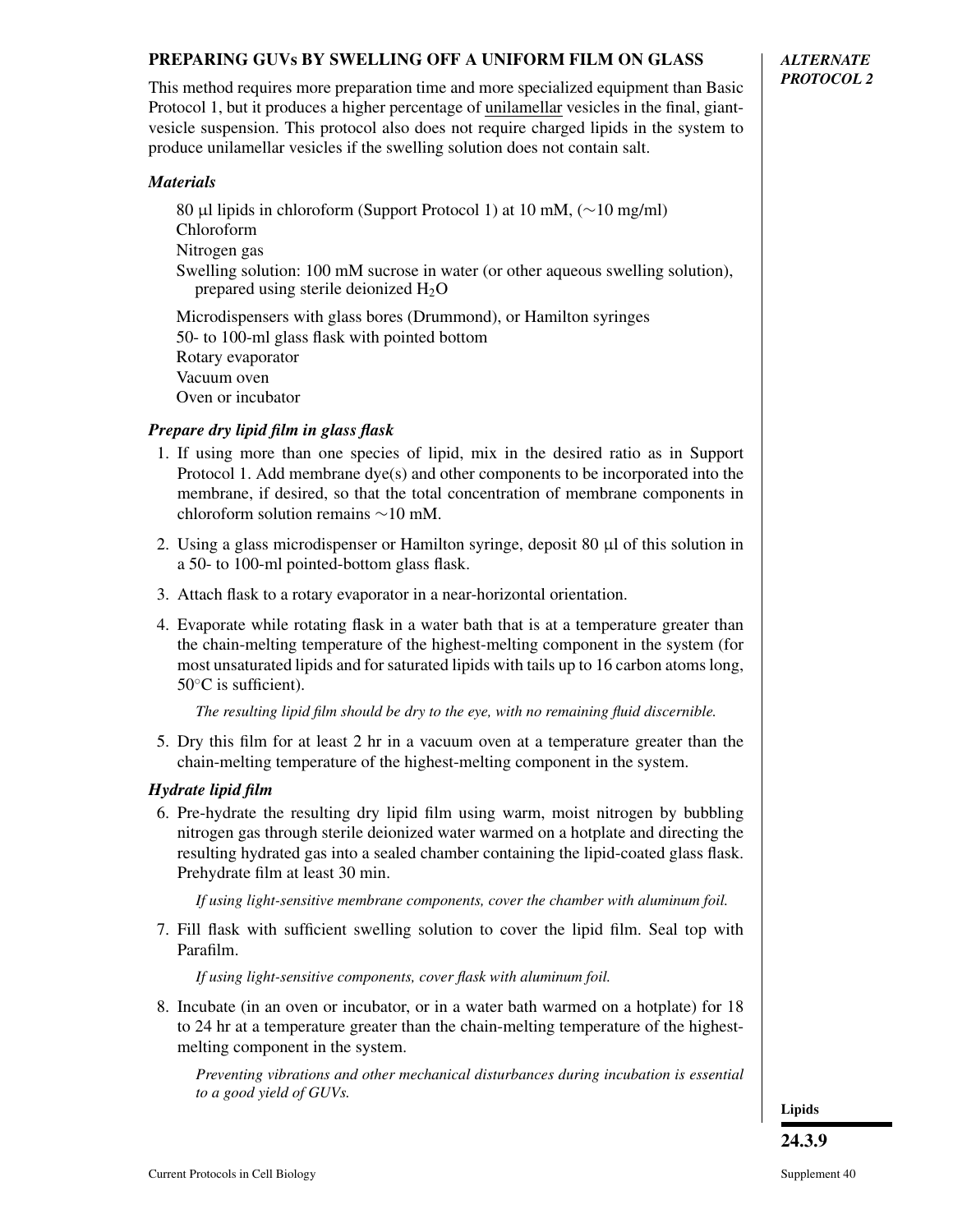### **PREPARING GUVs BY SWELLING OFF A UNIFORM FILM ON GLASS**

This method requires more preparation time and more specialized equipment than Basic Protocol 1, but it produces a higher percentage of unilamellar vesicles in the final, giantvesicle suspension. This protocol also does not require charged lipids in the system to produce unilamellar vesicles if the swelling solution does not contain salt.

### *Materials*

80 μl lipids in chloroform (Support Protocol 1) at 10 mM, (∼10 mg/ml) Chloroform Nitrogen gas Swelling solution: 100 mM sucrose in water (or other aqueous swelling solution), prepared using sterile deionized  $H_2O$ Microdispensers with glass bores (Drummond), or Hamilton syringes 50- to 100-ml glass flask with pointed bottom Rotary evaporator Vacuum oven Oven or incubator

### *Prepare dry lipid film in glass flask*

- 1. If using more than one species of lipid, mix in the desired ratio as in Support Protocol 1. Add membrane  $\text{dye}(s)$  and other components to be incorporated into the membrane, if desired, so that the total concentration of membrane components in chloroform solution remains ∼10 mM.
- 2. Using a glass microdispenser or Hamilton syringe, deposit 80  $\mu$ l of this solution in a 50- to 100-ml pointed-bottom glass flask.
- 3. Attach flask to a rotary evaporator in a near-horizontal orientation.
- 4. Evaporate while rotating flask in a water bath that is at a temperature greater than the chain-melting temperature of the highest-melting component in the system (for most unsaturated lipids and for saturated lipids with tails up to 16 carbon atoms long,  $50^{\circ}$ C is sufficient).

*The resulting lipid film should be dry to the eye, with no remaining fluid discernible.*

5. Dry this film for at least 2 hr in a vacuum oven at a temperature greater than the chain-melting temperature of the highest-melting component in the system.

### *Hydrate lipid film*

6. Pre-hydrate the resulting dry lipid film using warm, moist nitrogen by bubbling nitrogen gas through sterile deionized water warmed on a hotplate and directing the resulting hydrated gas into a sealed chamber containing the lipid-coated glass flask. Prehydrate film at least 30 min.

*If using light-sensitive membrane components, cover the chamber with aluminum foil.*

7. Fill flask with sufficient swelling solution to cover the lipid film. Seal top with Parafilm.

*If using light-sensitive components, cover flask with aluminum foil.*

8. Incubate (in an oven or incubator, or in a water bath warmed on a hotplate) for 18 to 24 hr at a temperature greater than the chain-melting temperature of the highestmelting component in the system.

*Preventing vibrations and other mechanical disturbances during incubation is essential to a good yield of GUVs.*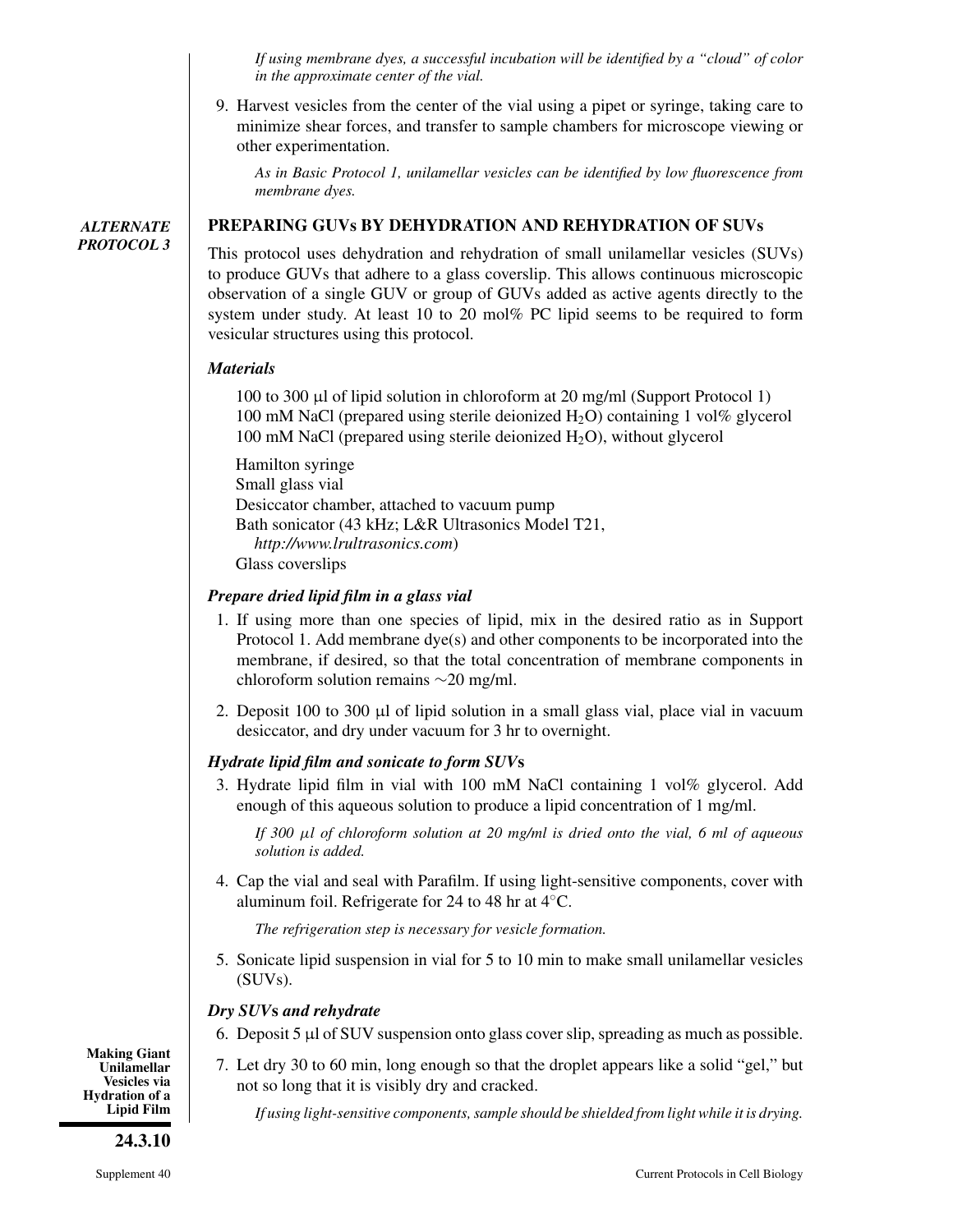*If using membrane dyes, a successful incubation will be identified by a "cloud" of color in the approximate center of the vial.*

9. Harvest vesicles from the center of the vial using a pipet or syringe, taking care to minimize shear forces, and transfer to sample chambers for microscope viewing or other experimentation.

*As in Basic Protocol 1, unilamellar vesicles can be identified by low fluorescence from membrane dyes.*

#### **PREPARING GUVs BY DEHYDRATION AND REHYDRATION OF SUVs**

This protocol uses dehydration and rehydration of small unilamellar vesicles (SUVs) to produce GUVs that adhere to a glass coverslip. This allows continuous microscopic observation of a single GUV or group of GUVs added as active agents directly to the system under study. At least 10 to 20 mol% PC lipid seems to be required to form vesicular structures using this protocol.

#### *Materials*

*ALTERNATE PROTOCOL 3*

> 100 to 300 μl of lipid solution in chloroform at 20 mg/ml (Support Protocol 1) 100 mM NaCl (prepared using sterile deionized  $H_2O$ ) containing 1 vol% glycerol 100 mM NaCl (prepared using sterile deionized  $H_2O$ ), without glycerol

Hamilton syringe Small glass vial Desiccator chamber, attached to vacuum pump Bath sonicator (43 kHz; L&R Ultrasonics Model T21, *http://www.lrultrasonics.com*) Glass coverslips

#### *Prepare dried lipid film in a glass vial*

- 1. If using more than one species of lipid, mix in the desired ratio as in Support Protocol 1. Add membrane dye(s) and other components to be incorporated into the membrane, if desired, so that the total concentration of membrane components in chloroform solution remains ∼20 mg/ml.
- 2. Deposit 100 to 300  $\mu$ l of lipid solution in a small glass vial, place vial in vacuum desiccator, and dry under vacuum for 3 hr to overnight.

#### *Hydrate lipid film and sonicate to form SUV***s**

3. Hydrate lipid film in vial with 100 mM NaCl containing 1 vol% glycerol. Add enough of this aqueous solution to produce a lipid concentration of 1 mg/ml.

*If 300* μ*l of chloroform solution at 20 mg/ml is dried onto the vial, 6 ml of aqueous solution is added.*

4. Cap the vial and seal with Parafilm. If using light-sensitive components, cover with aluminum foil. Refrigerate for 24 to 48 hr at 4◦C.

*The refrigeration step is necessary for vesicle formation.*

5. Sonicate lipid suspension in vial for 5 to 10 min to make small unilamellar vesicles (SUVs).

#### *Dry SUV***s** *and rehydrate*

- 6. Deposit 5 μl of SUV suspension onto glass cover slip, spreading as much as possible.
- 7. Let dry 30 to 60 min, long enough so that the droplet appears like a solid "gel," but not so long that it is visibly dry and cracked.

*If using light-sensitive components, sample should be shielded from light while it is drying.*

**Making Giant Unilamellar Vesicles via Hydration of a Lipid Film**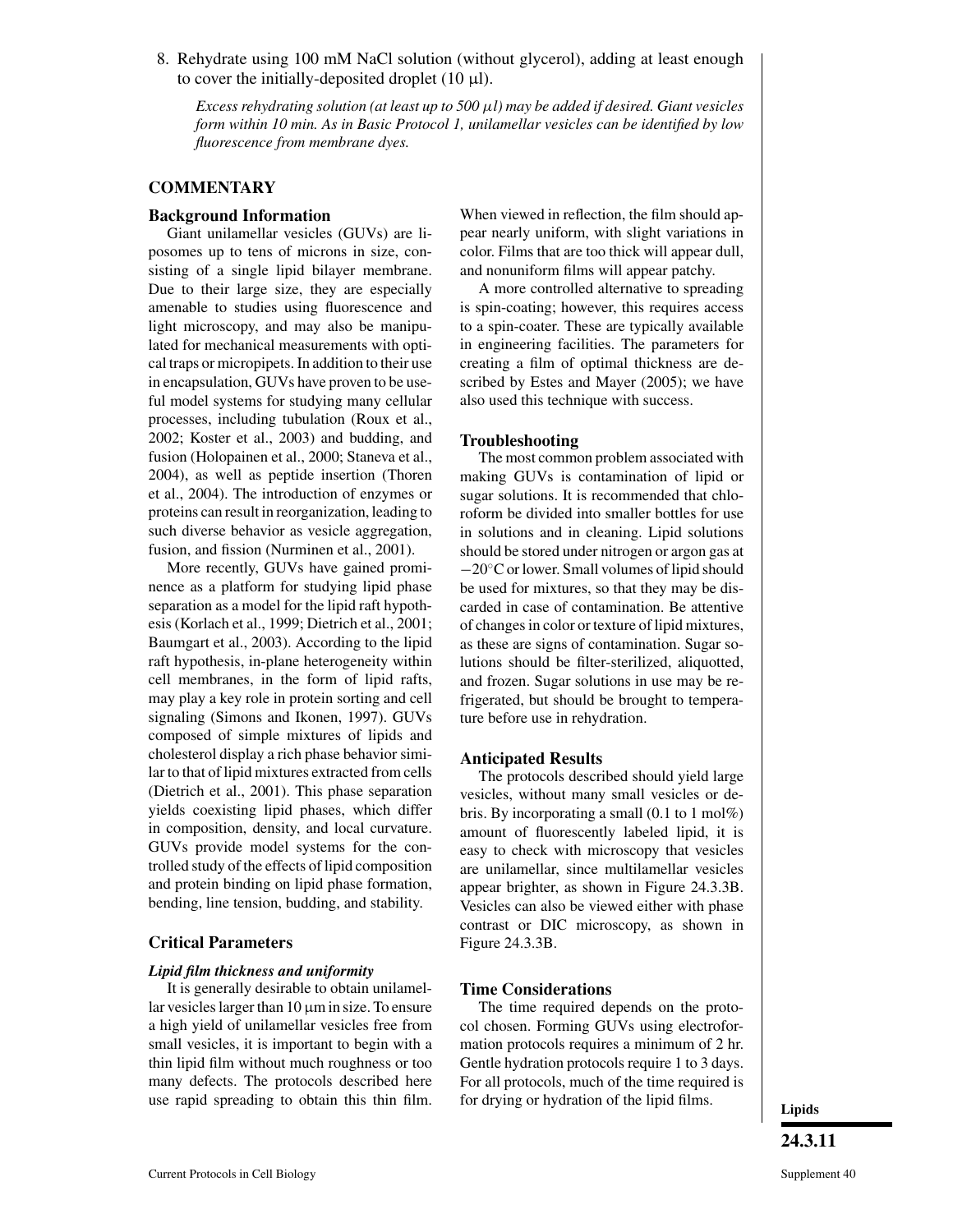8. Rehydrate using 100 mM NaCl solution (without glycerol), adding at least enough to cover the initially-deposited droplet (10 μl).

*Excess rehydrating solution (at least up to 500* μ*l) may be added if desired. Giant vesicles form within 10 min. As in Basic Protocol 1, unilamellar vesicles can be identified by low fluorescence from membrane dyes.*

#### **COMMENTARY**

#### **Background Information**

Giant unilamellar vesicles (GUVs) are liposomes up to tens of microns in size, consisting of a single lipid bilayer membrane. Due to their large size, they are especially amenable to studies using fluorescence and light microscopy, and may also be manipulated for mechanical measurements with optical traps or micropipets. In addition to their use in encapsulation, GUVs have proven to be useful model systems for studying many cellular processes, including tubulation (Roux et al., 2002; Koster et al., 2003) and budding, and fusion (Holopainen et al., 2000; Staneva et al., 2004), as well as peptide insertion (Thoren et al., 2004). The introduction of enzymes or proteins can result in reorganization, leading to such diverse behavior as vesicle aggregation, fusion, and fission (Nurminen et al., 2001).

More recently, GUVs have gained prominence as a platform for studying lipid phase separation as a model for the lipid raft hypothesis (Korlach et al., 1999; Dietrich et al., 2001; Baumgart et al., 2003). According to the lipid raft hypothesis, in-plane heterogeneity within cell membranes, in the form of lipid rafts, may play a key role in protein sorting and cell signaling (Simons and Ikonen, 1997). GUVs composed of simple mixtures of lipids and cholesterol display a rich phase behavior similar to that of lipid mixtures extracted from cells (Dietrich et al., 2001). This phase separation yields coexisting lipid phases, which differ in composition, density, and local curvature. GUVs provide model systems for the controlled study of the effects of lipid composition and protein binding on lipid phase formation, bending, line tension, budding, and stability.

#### **Critical Parameters**

#### *Lipid film thickness and uniformity*

It is generally desirable to obtain unilamellar vesicles larger than 10 μm in size. To ensure a high yield of unilamellar vesicles free from small vesicles, it is important to begin with a thin lipid film without much roughness or too many defects. The protocols described here use rapid spreading to obtain this thin film.

When viewed in reflection, the film should appear nearly uniform, with slight variations in color. Films that are too thick will appear dull, and nonuniform films will appear patchy.

A more controlled alternative to spreading is spin-coating; however, this requires access to a spin-coater. These are typically available in engineering facilities. The parameters for creating a film of optimal thickness are described by Estes and Mayer (2005); we have also used this technique with success.

#### **Troubleshooting**

The most common problem associated with making GUVs is contamination of lipid or sugar solutions. It is recommended that chloroform be divided into smaller bottles for use in solutions and in cleaning. Lipid solutions should be stored under nitrogen or argon gas at −20◦C or lower. Small volumes of lipid should be used for mixtures, so that they may be discarded in case of contamination. Be attentive of changes in color or texture of lipid mixtures, as these are signs of contamination. Sugar solutions should be filter-sterilized, aliquotted, and frozen. Sugar solutions in use may be refrigerated, but should be brought to temperature before use in rehydration.

#### **Anticipated Results**

The protocols described should yield large vesicles, without many small vesicles or debris. By incorporating a small (0.1 to 1 mol%) amount of fluorescently labeled lipid, it is easy to check with microscopy that vesicles are unilamellar, since multilamellar vesicles appear brighter, as shown in Figure 24.3.3B. Vesicles can also be viewed either with phase contrast or DIC microscopy, as shown in Figure 24.3.3B.

#### **Time Considerations**

The time required depends on the protocol chosen. Forming GUVs using electroformation protocols requires a minimum of 2 hr. Gentle hydration protocols require 1 to 3 days. For all protocols, much of the time required is for drying or hydration of the lipid films.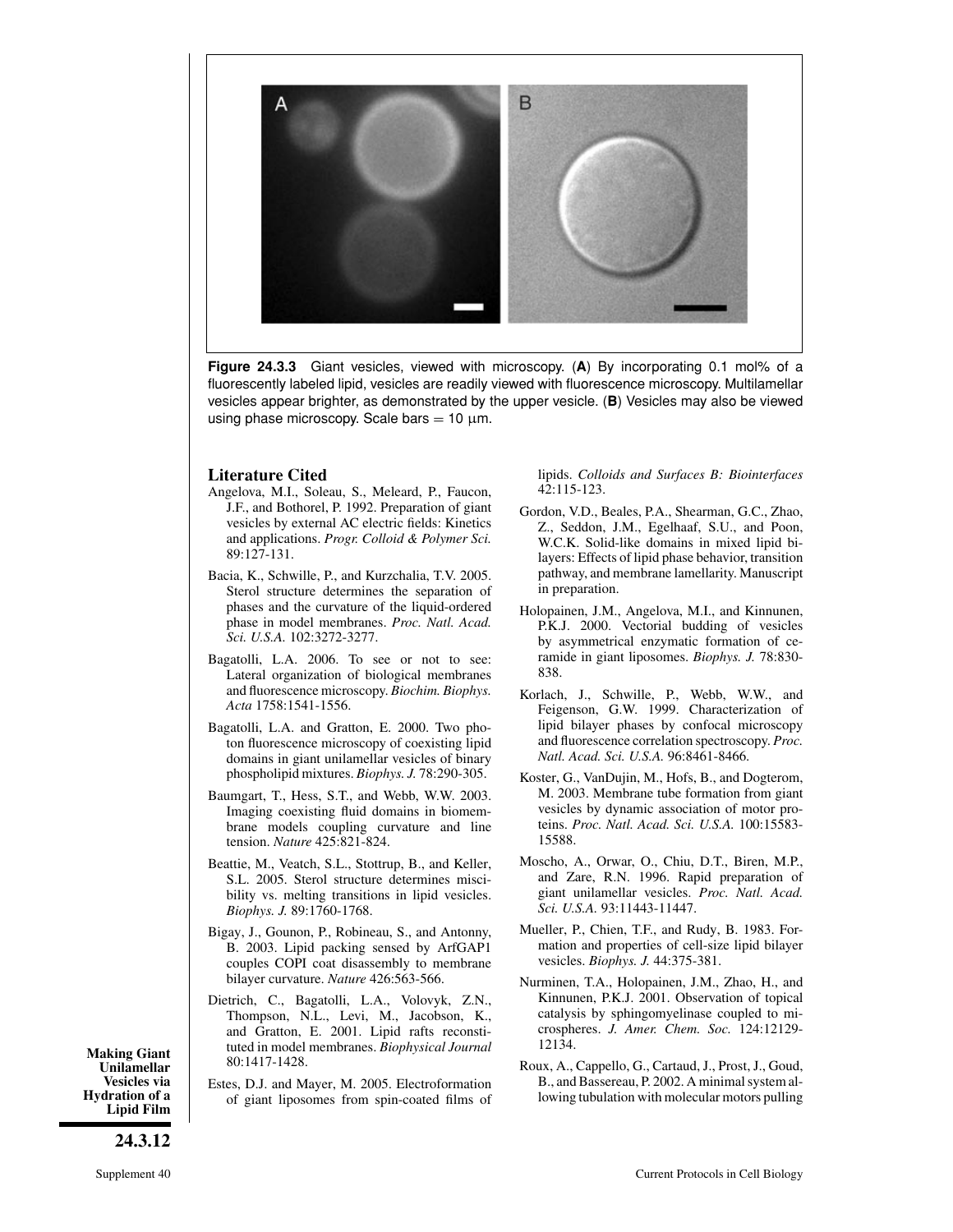

**Figure 24.3.3** Giant vesicles, viewed with microscopy. (**A**) By incorporating 0.1 mol% of a fluorescently labeled lipid, vesicles are readily viewed with fluorescence microscopy. Multilamellar vesicles appear brighter, as demonstrated by the upper vesicle. (**B**) Vesicles may also be viewed using phase microscopy. Scale bars =  $10 \mu m$ .

#### **Literature Cited**

- Angelova, M.I., Soleau, S., Meleard, P., Faucon, J.F., and Bothorel, P. 1992. Preparation of giant vesicles by external AC electric fields: Kinetics and applications. *Progr. Colloid & Polymer Sci.* 89:127-131.
- Bacia, K., Schwille, P., and Kurzchalia, T.V. 2005. Sterol structure determines the separation of phases and the curvature of the liquid-ordered phase in model membranes. *Proc. Natl. Acad. Sci. U.S.A.* 102:3272-3277.
- Bagatolli, L.A. 2006. To see or not to see: Lateral organization of biological membranes and fluorescence microscopy. *Biochim. Biophys. Acta* 1758:1541-1556.
- Bagatolli, L.A. and Gratton, E. 2000. Two photon fluorescence microscopy of coexisting lipid domains in giant unilamellar vesicles of binary phospholipid mixtures. *Biophys. J.* 78:290-305.
- Baumgart, T., Hess, S.T., and Webb, W.W. 2003. Imaging coexisting fluid domains in biomembrane models coupling curvature and line tension. *Nature* 425:821-824.
- Beattie, M., Veatch, S.L., Stottrup, B., and Keller, S.L. 2005. Sterol structure determines miscibility vs. melting transitions in lipid vesicles. *Biophys. J.* 89:1760-1768.
- Bigay, J., Gounon, P., Robineau, S., and Antonny, B. 2003. Lipid packing sensed by ArfGAP1 couples COPI coat disassembly to membrane bilayer curvature. *Nature* 426:563-566.
- Dietrich, C., Bagatolli, L.A., Volovyk, Z.N., Thompson, N.L., Levi, M., Jacobson, K., and Gratton, E. 2001. Lipid rafts reconstituted in model membranes. *Biophysical Journal* 80:1417-1428.
- Estes, D.J. and Mayer, M. 2005. Electroformation of giant liposomes from spin-coated films of

lipids. *Colloids and Surfaces B: Biointerfaces* 42:115-123.

- Gordon, V.D., Beales, P.A., Shearman, G.C., Zhao, Z., Seddon, J.M., Egelhaaf, S.U., and Poon, W.C.K. Solid-like domains in mixed lipid bilayers: Effects of lipid phase behavior, transition pathway, and membrane lamellarity. Manuscript in preparation.
- Holopainen, J.M., Angelova, M.I., and Kinnunen, P.K.J. 2000. Vectorial budding of vesicles by asymmetrical enzymatic formation of ceramide in giant liposomes. *Biophys. J.* 78:830- 838.
- Korlach, J., Schwille, P., Webb, W.W., and Feigenson, G.W. 1999. Characterization of lipid bilayer phases by confocal microscopy and fluorescence correlation spectroscopy. *Proc. Natl. Acad. Sci. U.S.A.* 96:8461-8466.
- Koster, G., VanDujin, M., Hofs, B., and Dogterom, M. 2003. Membrane tube formation from giant vesicles by dynamic association of motor proteins. *Proc. Natl. Acad. Sci. U.S.A.* 100:15583- 15588.
- Moscho, A., Orwar, O., Chiu, D.T., Biren, M.P., and Zare, R.N. 1996. Rapid preparation of giant unilamellar vesicles. *Proc. Natl. Acad. Sci. U.S.A.* 93:11443-11447.
- Mueller, P., Chien, T.F., and Rudy, B. 1983. Formation and properties of cell-size lipid bilayer vesicles. *Biophys. J.* 44:375-381.
- Nurminen, T.A., Holopainen, J.M., Zhao, H., and Kinnunen, P.K.J. 2001. Observation of topical catalysis by sphingomyelinase coupled to microspheres. *J. Amer. Chem. Soc.* 124:12129- 12134.
- Roux, A., Cappello, G., Cartaud, J., Prost, J., Goud, B., and Bassereau, P. 2002. A minimal system allowing tubulation with molecular motors pulling

**Making Giant Unilamellar Vesicles via Hydration of a Lipid Film**